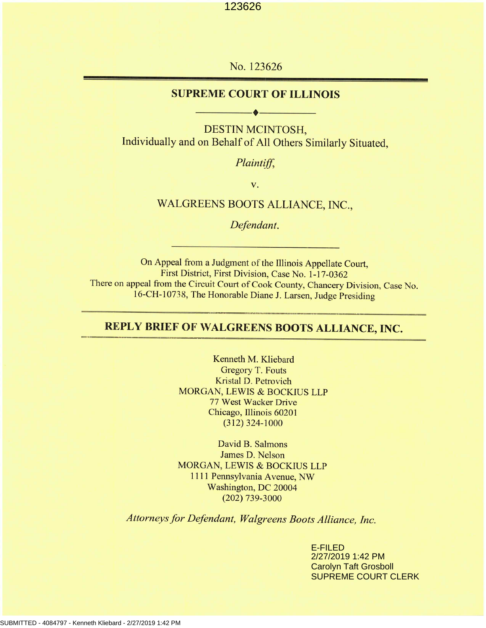No. 123626

### **SUPREME COURT OF ILLINOIS**

----------+----------

DESTIN MCINTOSH, Individually and on Behalf of All Others Similarly Situated,

*Plaintiff,*

v.

### WALGREENS BOOTS ALLIANCE, INC.,

*Defendant.*

On Appeal from a Judgment of the Illinois Appellate Court, First District, First Division, Case No. 1-17-0362 There on appeal from the Circuit Court of Cook County, Chancery Division, Case No. 16-CH-10738, The Honorable Diane J. Larsen, Judge Presiding

# **REPLY BRIEF OF WALGREENS BOOTS ALLIANCE, INC.**

Kenneth M. Kliebard Gregory T. Fouts Kristal D. *Petrovich* MORGAN, LEWIS & BOCKIUS LLP 77 West Wacker Drive Chicago, Illinois 60201 (312) 324-1000

David B. Salmons James D. Nelson MORGAN, LEWIS & BOCKIUS LLP 1111 Pennsylvania Avenue, NW Washington, DC 20004 (202) 739-3000

*Attorneys for Defendant, Walgreens Boots Alliance, Inc.*

E-FILED 2/27/2019 1:42 PM Carolyn Taft Grosboll SUPREME COURT CLERK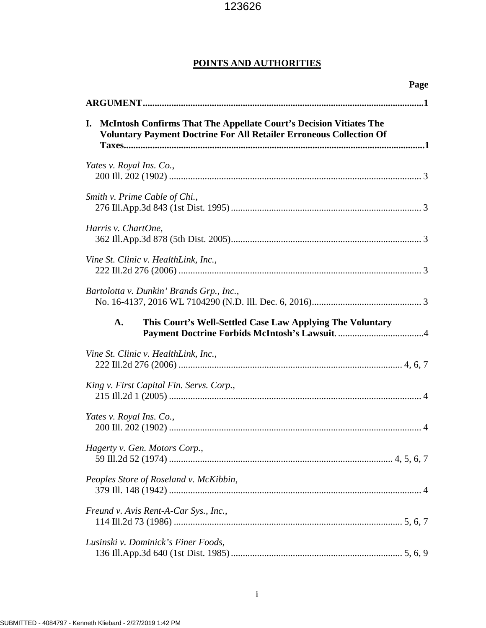### **POINTS AND AUTHORITIES**

| Page                                                                                                                                                   |
|--------------------------------------------------------------------------------------------------------------------------------------------------------|
|                                                                                                                                                        |
| McIntosh Confirms That The Appellate Court's Decision Vitiates The<br>I.<br><b>Voluntary Payment Doctrine For All Retailer Erroneous Collection Of</b> |
| Yates v. Royal Ins. Co.,                                                                                                                               |
| Smith v. Prime Cable of Chi.,                                                                                                                          |
| Harris v. ChartOne,                                                                                                                                    |
| Vine St. Clinic v. HealthLink, Inc.,                                                                                                                   |
| Bartolotta v. Dunkin' Brands Grp., Inc.,                                                                                                               |
| A.<br>This Court's Well-Settled Case Law Applying The Voluntary                                                                                        |
| Vine St. Clinic v. HealthLink, Inc.,                                                                                                                   |
| King v. First Capital Fin. Servs. Corp.,                                                                                                               |
| Yates v. Royal Ins. Co.,                                                                                                                               |
| Hagerty v. Gen. Motors Corp.,                                                                                                                          |
| Peoples Store of Roseland v. McKibbin,                                                                                                                 |
| Freund v. Avis Rent-A-Car Sys., Inc.,                                                                                                                  |
| Lusinski v. Dominick's Finer Foods,                                                                                                                    |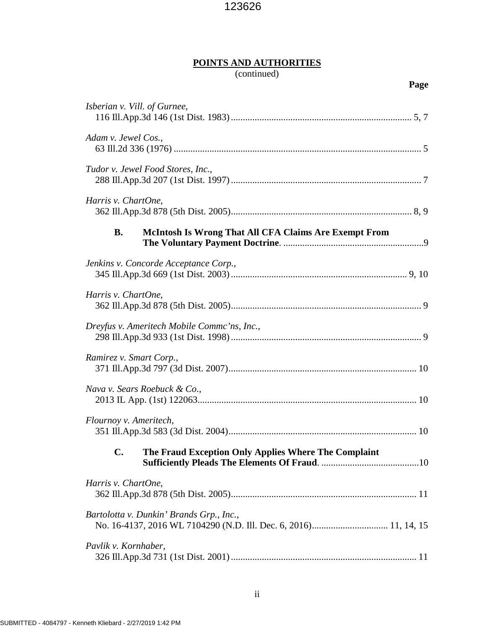# **POINTS AND AUTHORITIES**

# (continued)

| Isberian v. Vill. of Gurnee,                                              |  |
|---------------------------------------------------------------------------|--|
| Adam v. Jewel Cos.,                                                       |  |
| Tudor v. Jewel Food Stores, Inc.,                                         |  |
| Harris v. ChartOne,                                                       |  |
| <b>B.</b><br><b>McIntosh Is Wrong That All CFA Claims Are Exempt From</b> |  |
| Jenkins v. Concorde Acceptance Corp.,                                     |  |
| Harris v. ChartOne,                                                       |  |
| Dreyfus v. Ameritech Mobile Commc'ns, Inc.,                               |  |
| Ramirez v. Smart Corp.,                                                   |  |
| Nava v. Sears Roebuck & Co.,                                              |  |
| Flournoy v. Ameritech,                                                    |  |
| The Fraud Exception Only Applies Where The Complaint<br>C.                |  |
| Harris v. ChartOne,                                                       |  |
| Bartolotta v. Dunkin' Brands Grp., Inc.,                                  |  |
| Pavlik v. Kornhaber,                                                      |  |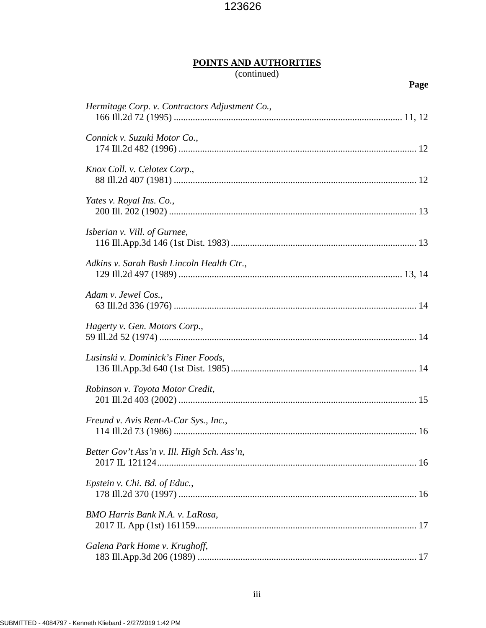# **POINTS AND AUTHORITIES**

# (continued)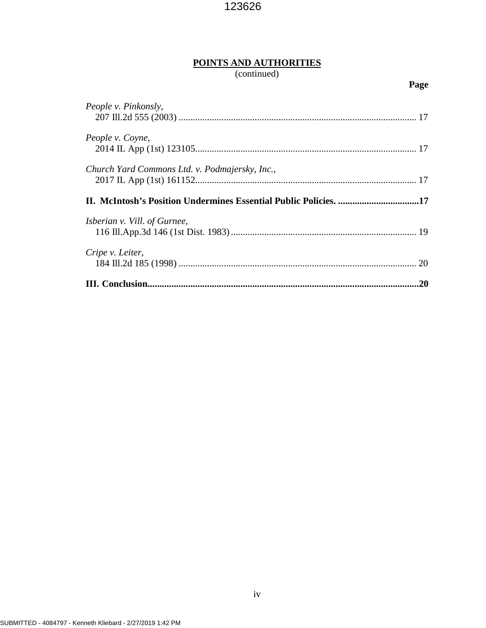# **POINTS AND AUTHORITIES**

# (continued)

| People v. Pinkonsly,                                             |    |
|------------------------------------------------------------------|----|
| People v. Coyne,                                                 |    |
| Church Yard Commons Ltd. v. Podmajersky, Inc.,                   |    |
| II. McIntosh's Position Undermines Essential Public Policies. 17 |    |
| <i>Isberian v. Vill. of Gurnee,</i>                              |    |
| Cripe v. Leiter,                                                 | 20 |
|                                                                  | 20 |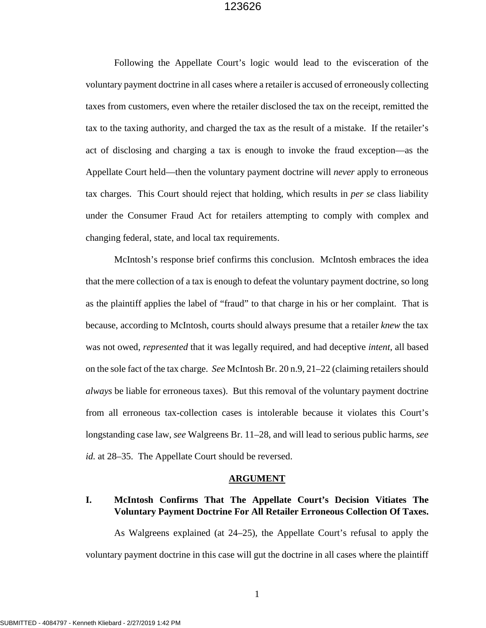Following the Appellate Court's logic would lead to the evisceration of the voluntary payment doctrine in all cases where a retailer is accused of erroneously collecting taxes from customers, even where the retailer disclosed the tax on the receipt, remitted the tax to the taxing authority, and charged the tax as the result of a mistake. If the retailer's act of disclosing and charging a tax is enough to invoke the fraud exception—as the Appellate Court held—then the voluntary payment doctrine will *never* apply to erroneous tax charges. This Court should reject that holding, which results in *per se* class liability under the Consumer Fraud Act for retailers attempting to comply with complex and changing federal, state, and local tax requirements.

McIntosh's response brief confirms this conclusion. McIntosh embraces the idea that the mere collection of a tax is enough to defeat the voluntary payment doctrine, so long as the plaintiff applies the label of "fraud" to that charge in his or her complaint. That is because, according to McIntosh, courts should always presume that a retailer *knew* the tax was not owed, *represented* that it was legally required, and had deceptive *intent*, all based on the sole fact of the tax charge. *See* McIntosh Br. 20 n.9, 21–22 (claiming retailers should *always* be liable for erroneous taxes). But this removal of the voluntary payment doctrine from all erroneous tax-collection cases is intolerable because it violates this Court's longstanding case law, *see* Walgreens Br. 11–28, and will lead to serious public harms, *see id.* at 28–35. The Appellate Court should be reversed.

#### **ARGUMENT**

### **I. McIntosh Confirms That The Appellate Court's Decision Vitiates The Voluntary Payment Doctrine For All Retailer Erroneous Collection Of Taxes.**

As Walgreens explained (at 24–25), the Appellate Court's refusal to apply the voluntary payment doctrine in this case will gut the doctrine in all cases where the plaintiff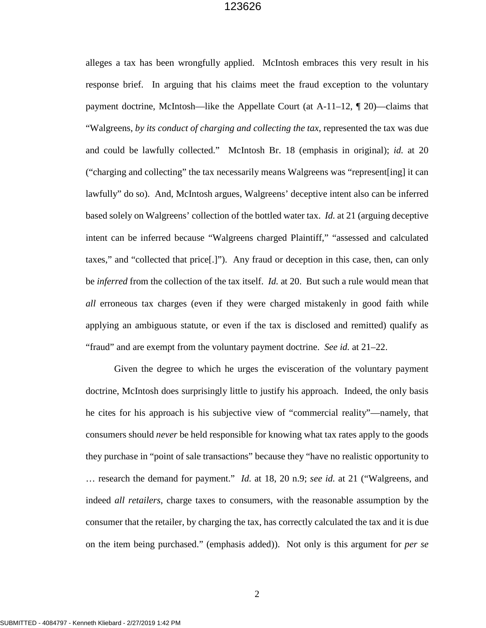alleges a tax has been wrongfully applied. McIntosh embraces this very result in his response brief. In arguing that his claims meet the fraud exception to the voluntary payment doctrine, McIntosh—like the Appellate Court (at A-11–12, ¶ 20)—claims that "Walgreens, *by its conduct of charging and collecting the tax*, represented the tax was due and could be lawfully collected." McIntosh Br. 18 (emphasis in original); *id.* at 20 ("charging and collecting" the tax necessarily means Walgreens was "represent[ing] it can lawfully" do so). And, McIntosh argues, Walgreens' deceptive intent also can be inferred based solely on Walgreens' collection of the bottled water tax. *Id.* at 21 (arguing deceptive intent can be inferred because "Walgreens charged Plaintiff," "assessed and calculated taxes," and "collected that price[.]"). Any fraud or deception in this case, then, can only be *inferred* from the collection of the tax itself. *Id.* at 20. But such a rule would mean that *all* erroneous tax charges (even if they were charged mistakenly in good faith while applying an ambiguous statute, or even if the tax is disclosed and remitted) qualify as "fraud" and are exempt from the voluntary payment doctrine. *See id.* at 21–22.

Given the degree to which he urges the evisceration of the voluntary payment doctrine, McIntosh does surprisingly little to justify his approach. Indeed, the only basis he cites for his approach is his subjective view of "commercial reality"—namely, that consumers should *never* be held responsible for knowing what tax rates apply to the goods they purchase in "point of sale transactions" because they "have no realistic opportunity to … research the demand for payment." *Id.* at 18, 20 n.9; *see id.* at 21 ("Walgreens, and indeed *all retailers*, charge taxes to consumers, with the reasonable assumption by the consumer that the retailer, by charging the tax, has correctly calculated the tax and it is due on the item being purchased." (emphasis added)). Not only is this argument for *per se*

2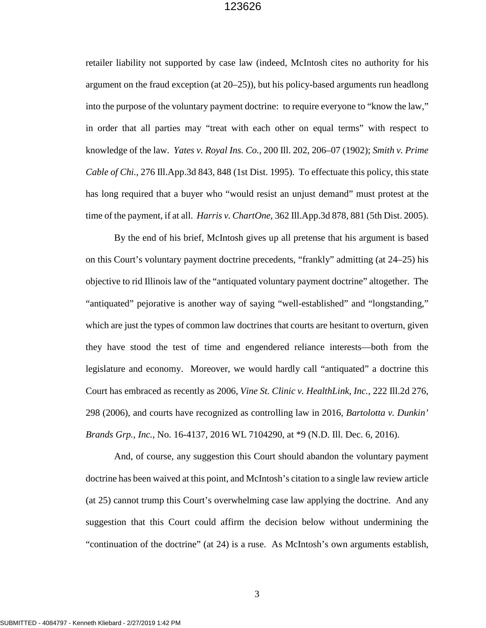retailer liability not supported by case law (indeed, McIntosh cites no authority for his argument on the fraud exception (at 20–25)), but his policy-based arguments run headlong into the purpose of the voluntary payment doctrine: to require everyone to "know the law," in order that all parties may "treat with each other on equal terms" with respect to knowledge of the law. *Yates v. Royal Ins. Co.*, 200 Ill. 202, 206–07 (1902); *Smith v. Prime Cable of Chi.*, 276 Ill.App.3d 843, 848 (1st Dist. 1995). To effectuate this policy, this state has long required that a buyer who "would resist an unjust demand" must protest at the time of the payment, if at all. *Harris v. ChartOne*, 362 Ill.App.3d 878, 881 (5th Dist. 2005).

By the end of his brief, McIntosh gives up all pretense that his argument is based on this Court's voluntary payment doctrine precedents, "frankly" admitting (at 24–25) his objective to rid Illinois law of the "antiquated voluntary payment doctrine" altogether. The "antiquated" pejorative is another way of saying "well-established" and "longstanding," which are just the types of common law doctrines that courts are hesitant to overturn, given they have stood the test of time and engendered reliance interests—both from the legislature and economy. Moreover, we would hardly call "antiquated" a doctrine this Court has embraced as recently as 2006, *Vine St. Clinic v. HealthLink, Inc.*, 222 Ill.2d 276, 298 (2006), and courts have recognized as controlling law in 2016, *Bartolotta v. Dunkin' Brands Grp., Inc.*, No. 16-4137, 2016 WL 7104290, at \*9 (N.D. Ill. Dec. 6, 2016).

And, of course, any suggestion this Court should abandon the voluntary payment doctrine has been waived at this point, and McIntosh's citation to a single law review article (at 25) cannot trump this Court's overwhelming case law applying the doctrine. And any suggestion that this Court could affirm the decision below without undermining the "continuation of the doctrine" (at 24) is a ruse. As McIntosh's own arguments establish,

3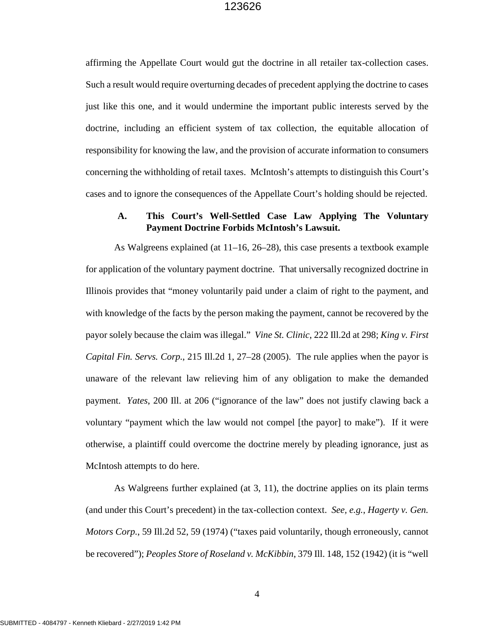affirming the Appellate Court would gut the doctrine in all retailer tax-collection cases. Such a result would require overturning decades of precedent applying the doctrine to cases just like this one, and it would undermine the important public interests served by the doctrine, including an efficient system of tax collection, the equitable allocation of responsibility for knowing the law, and the provision of accurate information to consumers concerning the withholding of retail taxes. McIntosh's attempts to distinguish this Court's cases and to ignore the consequences of the Appellate Court's holding should be rejected.

#### **A. This Court's Well-Settled Case Law Applying The Voluntary Payment Doctrine Forbids McIntosh's Lawsuit.**

As Walgreens explained (at 11–16, 26–28), this case presents a textbook example for application of the voluntary payment doctrine. That universally recognized doctrine in Illinois provides that "money voluntarily paid under a claim of right to the payment, and with knowledge of the facts by the person making the payment, cannot be recovered by the payor solely because the claim was illegal." *Vine St. Clinic*, 222 Ill.2d at 298; *King v. First Capital Fin. Servs. Corp.*, 215 Ill.2d 1, 27–28 (2005). The rule applies when the payor is unaware of the relevant law relieving him of any obligation to make the demanded payment. *Yates*, 200 Ill. at 206 ("ignorance of the law" does not justify clawing back a voluntary "payment which the law would not compel [the payor] to make"). If it were otherwise, a plaintiff could overcome the doctrine merely by pleading ignorance, just as McIntosh attempts to do here.

As Walgreens further explained (at 3, 11), the doctrine applies on its plain terms (and under this Court's precedent) in the tax-collection context. *See, e.g.*, *Hagerty v. Gen. Motors Corp.*, 59 Ill.2d 52, 59 (1974) ("taxes paid voluntarily, though erroneously, cannot be recovered"); *Peoples Store of Roseland v. McKibbin*, 379 Ill. 148, 152 (1942) (it is "well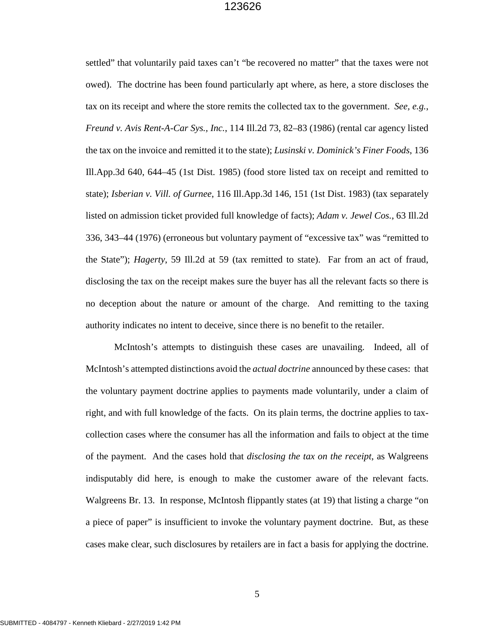settled" that voluntarily paid taxes can't "be recovered no matter" that the taxes were not owed). The doctrine has been found particularly apt where, as here, a store discloses the tax on its receipt and where the store remits the collected tax to the government. *See, e.g.*, *Freund v. Avis Rent-A-Car Sys., Inc.*, 114 Ill.2d 73, 82–83 (1986) (rental car agency listed the tax on the invoice and remitted it to the state); *Lusinski v. Dominick's Finer Foods*, 136 Ill.App.3d 640, 644–45 (1st Dist. 1985) (food store listed tax on receipt and remitted to state); *Isberian v. Vill. of Gurnee*, 116 Ill.App.3d 146, 151 (1st Dist. 1983) (tax separately listed on admission ticket provided full knowledge of facts); *Adam v. Jewel Cos.*, 63 Ill.2d 336, 343–44 (1976) (erroneous but voluntary payment of "excessive tax" was "remitted to the State"); *Hagerty*, 59 Ill.2d at 59 (tax remitted to state). Far from an act of fraud, disclosing the tax on the receipt makes sure the buyer has all the relevant facts so there is no deception about the nature or amount of the charge. And remitting to the taxing authority indicates no intent to deceive, since there is no benefit to the retailer.

McIntosh's attempts to distinguish these cases are unavailing. Indeed, all of McIntosh's attempted distinctions avoid the *actual doctrine* announced by these cases: that the voluntary payment doctrine applies to payments made voluntarily, under a claim of right, and with full knowledge of the facts. On its plain terms, the doctrine applies to taxcollection cases where the consumer has all the information and fails to object at the time of the payment. And the cases hold that *disclosing the tax on the receipt*, as Walgreens indisputably did here, is enough to make the customer aware of the relevant facts. Walgreens Br. 13. In response, McIntosh flippantly states (at 19) that listing a charge "on a piece of paper" is insufficient to invoke the voluntary payment doctrine. But, as these cases make clear, such disclosures by retailers are in fact a basis for applying the doctrine.

5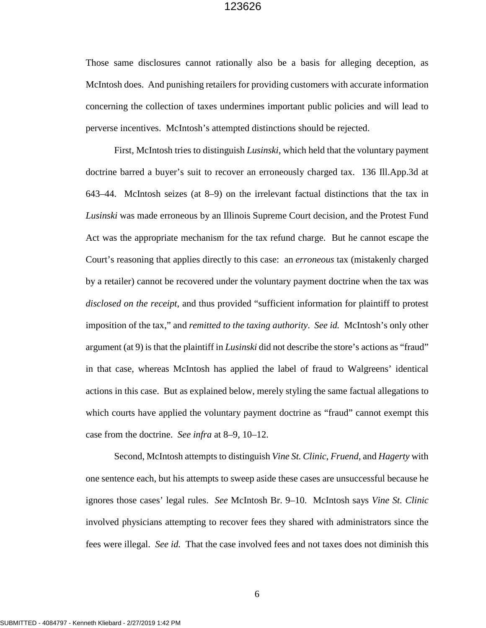Those same disclosures cannot rationally also be a basis for alleging deception, as McIntosh does. And punishing retailers for providing customers with accurate information concerning the collection of taxes undermines important public policies and will lead to perverse incentives. McIntosh's attempted distinctions should be rejected.

First, McIntosh tries to distinguish *Lusinski*, which held that the voluntary payment doctrine barred a buyer's suit to recover an erroneously charged tax. 136 Ill.App.3d at 643–44. McIntosh seizes (at 8–9) on the irrelevant factual distinctions that the tax in *Lusinski* was made erroneous by an Illinois Supreme Court decision, and the Protest Fund Act was the appropriate mechanism for the tax refund charge. But he cannot escape the Court's reasoning that applies directly to this case: an *erroneous* tax (mistakenly charged by a retailer) cannot be recovered under the voluntary payment doctrine when the tax was *disclosed on the receipt*, and thus provided "sufficient information for plaintiff to protest imposition of the tax," and *remitted to the taxing authority*. *See id.* McIntosh's only other argument (at 9) is that the plaintiff in *Lusinski* did not describe the store's actions as "fraud" in that case, whereas McIntosh has applied the label of fraud to Walgreens' identical actions in this case. But as explained below, merely styling the same factual allegations to which courts have applied the voluntary payment doctrine as "fraud" cannot exempt this case from the doctrine. *See infra* at 8–9, 10–12.

Second, McIntosh attempts to distinguish *Vine St. Clinic*, *Fruend*, and *Hagerty* with one sentence each, but his attempts to sweep aside these cases are unsuccessful because he ignores those cases' legal rules. *See* McIntosh Br. 9–10. McIntosh says *Vine St. Clinic* involved physicians attempting to recover fees they shared with administrators since the fees were illegal. *See id.* That the case involved fees and not taxes does not diminish this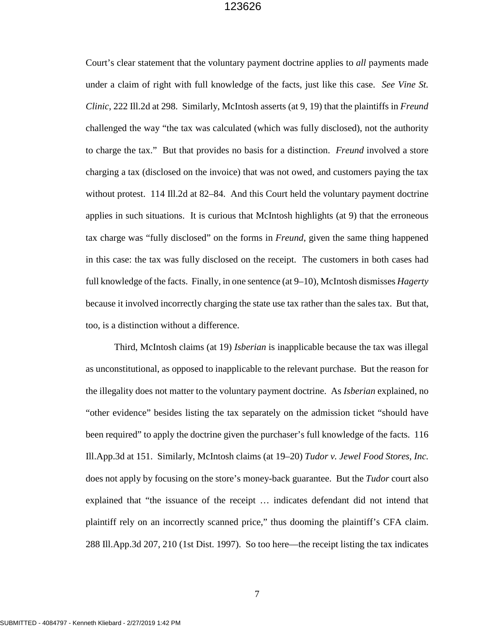Court's clear statement that the voluntary payment doctrine applies to *all* payments made under a claim of right with full knowledge of the facts, just like this case. *See Vine St. Clinic*, 222 Ill.2d at 298. Similarly, McIntosh asserts (at 9, 19) that the plaintiffs in *Freund* challenged the way "the tax was calculated (which was fully disclosed), not the authority to charge the tax." But that provides no basis for a distinction. *Freund* involved a store charging a tax (disclosed on the invoice) that was not owed, and customers paying the tax without protest. 114 Ill.2d at 82–84. And this Court held the voluntary payment doctrine applies in such situations. It is curious that McIntosh highlights (at 9) that the erroneous tax charge was "fully disclosed" on the forms in *Freund*, given the same thing happened in this case: the tax was fully disclosed on the receipt. The customers in both cases had full knowledge of the facts. Finally, in one sentence (at 9–10), McIntosh dismisses *Hagerty* because it involved incorrectly charging the state use tax rather than the sales tax. But that, too, is a distinction without a difference.

Third, McIntosh claims (at 19) *Isberian* is inapplicable because the tax was illegal as unconstitutional, as opposed to inapplicable to the relevant purchase. But the reason for the illegality does not matter to the voluntary payment doctrine. As *Isberian* explained, no "other evidence" besides listing the tax separately on the admission ticket "should have been required" to apply the doctrine given the purchaser's full knowledge of the facts. 116 Ill.App.3d at 151. Similarly, McIntosh claims (at 19–20) *Tudor v. Jewel Food Stores, Inc.* does not apply by focusing on the store's money-back guarantee. But the *Tudor* court also explained that "the issuance of the receipt … indicates defendant did not intend that plaintiff rely on an incorrectly scanned price," thus dooming the plaintiff's CFA claim. 288 Ill.App.3d 207, 210 (1st Dist. 1997). So too here—the receipt listing the tax indicates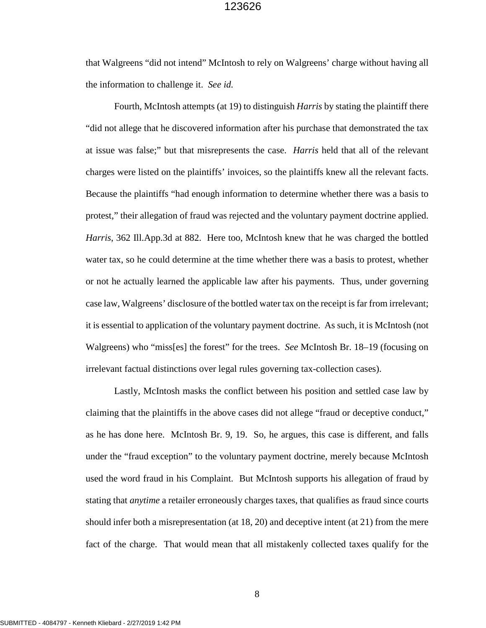that Walgreens "did not intend" McIntosh to rely on Walgreens' charge without having all the information to challenge it. *See id.*

Fourth, McIntosh attempts (at 19) to distinguish *Harris* by stating the plaintiff there "did not allege that he discovered information after his purchase that demonstrated the tax at issue was false;" but that misrepresents the case. *Harris* held that all of the relevant charges were listed on the plaintiffs' invoices, so the plaintiffs knew all the relevant facts. Because the plaintiffs "had enough information to determine whether there was a basis to protest," their allegation of fraud was rejected and the voluntary payment doctrine applied. *Harris*, 362 Ill.App.3d at 882. Here too, McIntosh knew that he was charged the bottled water tax, so he could determine at the time whether there was a basis to protest, whether or not he actually learned the applicable law after his payments. Thus, under governing case law, Walgreens' disclosure of the bottled water tax on the receipt is far from irrelevant; it is essential to application of the voluntary payment doctrine. As such, it is McIntosh (not Walgreens) who "miss[es] the forest" for the trees. *See* McIntosh Br. 18–19 (focusing on irrelevant factual distinctions over legal rules governing tax-collection cases).

Lastly, McIntosh masks the conflict between his position and settled case law by claiming that the plaintiffs in the above cases did not allege "fraud or deceptive conduct," as he has done here. McIntosh Br. 9, 19. So, he argues, this case is different, and falls under the "fraud exception" to the voluntary payment doctrine, merely because McIntosh used the word fraud in his Complaint. But McIntosh supports his allegation of fraud by stating that *anytime* a retailer erroneously charges taxes, that qualifies as fraud since courts should infer both a misrepresentation (at 18, 20) and deceptive intent (at 21) from the mere fact of the charge. That would mean that all mistakenly collected taxes qualify for the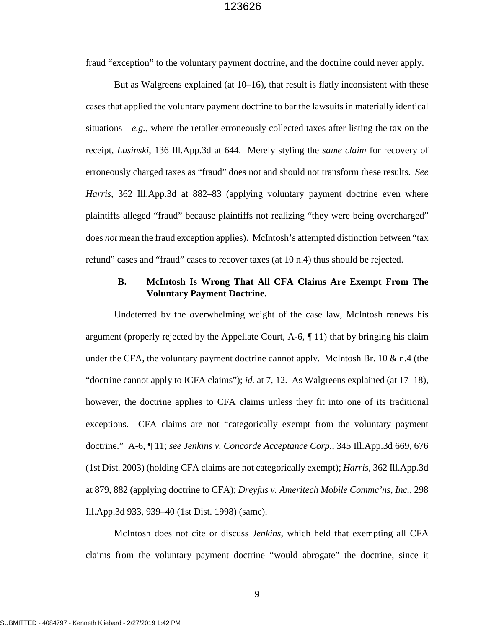fraud "exception" to the voluntary payment doctrine, and the doctrine could never apply.

But as Walgreens explained (at 10–16), that result is flatly inconsistent with these cases that applied the voluntary payment doctrine to bar the lawsuits in materially identical situations—*e.g.*, where the retailer erroneously collected taxes after listing the tax on the receipt, *Lusinski*, 136 Ill.App.3d at 644. Merely styling the *same claim* for recovery of erroneously charged taxes as "fraud" does not and should not transform these results. *See Harris*, 362 Ill.App.3d at 882–83 (applying voluntary payment doctrine even where plaintiffs alleged "fraud" because plaintiffs not realizing "they were being overcharged" does *not* mean the fraud exception applies). McIntosh's attempted distinction between "tax refund" cases and "fraud" cases to recover taxes (at 10 n.4) thus should be rejected.

#### **B. McIntosh Is Wrong That All CFA Claims Are Exempt From The Voluntary Payment Doctrine.**

Undeterred by the overwhelming weight of the case law, McIntosh renews his argument (properly rejected by the Appellate Court,  $A-6$ ,  $\P$  11) that by bringing his claim under the CFA, the voluntary payment doctrine cannot apply. McIntosh Br. 10  $\&$  n.4 (the "doctrine cannot apply to ICFA claims"); *id.* at 7, 12. As Walgreens explained (at 17–18), however, the doctrine applies to CFA claims unless they fit into one of its traditional exceptions. CFA claims are not "categorically exempt from the voluntary payment doctrine." A-6, ¶ 11; *see Jenkins v. Concorde Acceptance Corp.*, 345 Ill.App.3d 669, 676 (1st Dist. 2003) (holding CFA claims are not categorically exempt); *Harris*, 362 Ill.App.3d at 879, 882 (applying doctrine to CFA); *Dreyfus v. Ameritech Mobile Commc'ns, Inc.*, 298 Ill.App.3d 933, 939–40 (1st Dist. 1998) (same).

McIntosh does not cite or discuss *Jenkins*, which held that exempting all CFA claims from the voluntary payment doctrine "would abrogate" the doctrine, since it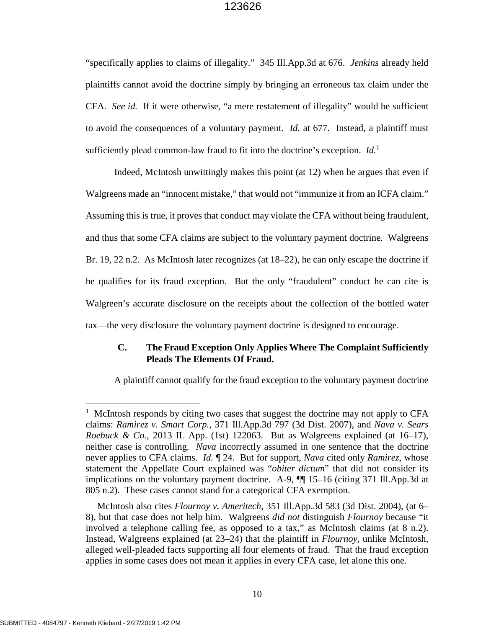"specifically applies to claims of illegality." 345 Ill.App.3d at 676. *Jenkins* already held plaintiffs cannot avoid the doctrine simply by bringing an erroneous tax claim under the CFA. *See id.* If it were otherwise, "a mere restatement of illegality" would be sufficient to avoid the consequences of a voluntary payment. *Id.* at 677. Instead, a plaintiff must sufficiently plead common-law fraud to fit into the doctrine's exception. *Id.*<sup>1</sup>

Indeed, McIntosh unwittingly makes this point (at 12) when he argues that even if Walgreens made an "innocent mistake," that would not "immunize it from an ICFA claim." Assuming this is true, it proves that conduct may violate the CFA without being fraudulent, and thus that some CFA claims are subject to the voluntary payment doctrine. Walgreens Br. 19, 22 n.2. As McIntosh later recognizes (at 18–22), he can only escape the doctrine if he qualifies for its fraud exception. But the only "fraudulent" conduct he can cite is Walgreen's accurate disclosure on the receipts about the collection of the bottled water tax—the very disclosure the voluntary payment doctrine is designed to encourage.

### **C. The Fraud Exception Only Applies Where The Complaint Sufficiently Pleads The Elements Of Fraud.**

A plaintiff cannot qualify for the fraud exception to the voluntary payment doctrine

<sup>&</sup>lt;sup>1</sup> McIntosh responds by citing two cases that suggest the doctrine may not apply to CFA claims: *Ramirez v. Smart Corp.*, 371 Ill.App.3d 797 (3d Dist. 2007), and *Nava v. Sears Roebuck & Co.*, 2013 IL App. (1st) 122063. But as Walgreens explained (at 16–17), neither case is controlling. *Nava* incorrectly assumed in one sentence that the doctrine never applies to CFA claims. *Id.* ¶ 24. But for support, *Nava* cited only *Ramirez*, whose statement the Appellate Court explained was "*obiter dictum*" that did not consider its implications on the voluntary payment doctrine. A-9, ¶¶ 15–16 (citing 371 Ill.App.3d at 805 n.2). These cases cannot stand for a categorical CFA exemption.

McIntosh also cites *Flournoy v. Ameritech*, 351 Ill.App.3d 583 (3d Dist. 2004), (at 6– 8), but that case does not help him. Walgreens *did not* distinguish *Flournoy* because "it involved a telephone calling fee, as opposed to a tax," as McIntosh claims (at 8 n.2). Instead, Walgreens explained (at 23–24) that the plaintiff in *Flournoy*, unlike McIntosh, alleged well-pleaded facts supporting all four elements of fraud. That the fraud exception applies in some cases does not mean it applies in every CFA case, let alone this one.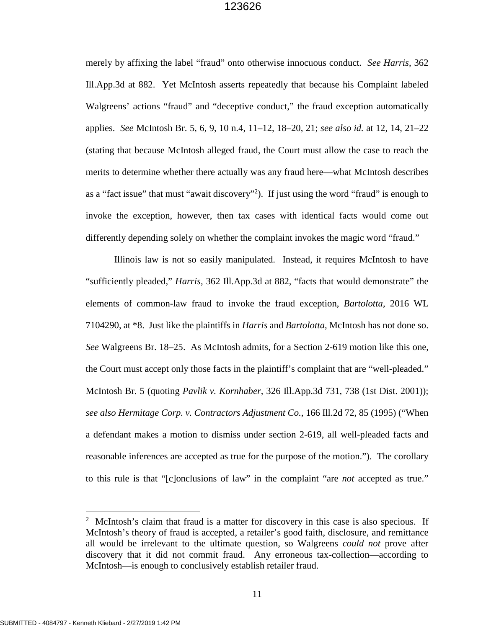merely by affixing the label "fraud" onto otherwise innocuous conduct. *See Harris*, 362 Ill.App.3d at 882. Yet McIntosh asserts repeatedly that because his Complaint labeled Walgreens' actions "fraud" and "deceptive conduct," the fraud exception automatically applies. *See* McIntosh Br. 5, 6, 9, 10 n.4, 11–12, 18–20, 21; *see also id.* at 12, 14, 21–22 (stating that because McIntosh alleged fraud, the Court must allow the case to reach the merits to determine whether there actually was any fraud here—what McIntosh describes as a "fact issue" that must "await discovery"<sup>2</sup>). If just using the word "fraud" is enough to invoke the exception, however, then tax cases with identical facts would come out differently depending solely on whether the complaint invokes the magic word "fraud."

Illinois law is not so easily manipulated. Instead, it requires McIntosh to have "sufficiently pleaded," *Harris*, 362 Ill.App.3d at 882, "facts that would demonstrate" the elements of common-law fraud to invoke the fraud exception, *Bartolotta*, 2016 WL 7104290, at \*8. Just like the plaintiffs in *Harris* and *Bartolotta*, McIntosh has not done so. *See* Walgreens Br. 18–25. As McIntosh admits, for a Section 2-619 motion like this one, the Court must accept only those facts in the plaintiff's complaint that are "well-pleaded." McIntosh Br. 5 (quoting *Pavlik v. Kornhaber*, 326 Ill.App.3d 731, 738 (1st Dist. 2001)); *see also Hermitage Corp. v. Contractors Adjustment Co.*, 166 Ill.2d 72, 85 (1995) ("When a defendant makes a motion to dismiss under section 2-619, all well-pleaded facts and reasonable inferences are accepted as true for the purpose of the motion."). The corollary to this rule is that "[c]onclusions of law" in the complaint "are *not* accepted as true."

<sup>&</sup>lt;sup>2</sup> McIntosh's claim that fraud is a matter for discovery in this case is also specious. If McIntosh's theory of fraud is accepted, a retailer's good faith, disclosure, and remittance all would be irrelevant to the ultimate question, so Walgreens *could not* prove after discovery that it did not commit fraud. Any erroneous tax-collection—according to McIntosh—is enough to conclusively establish retailer fraud.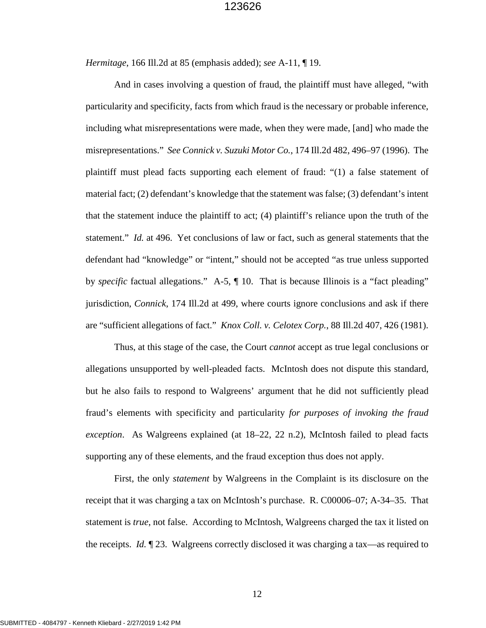*Hermitage*, 166 Ill.2d at 85 (emphasis added); *see* A-11, ¶ 19.

And in cases involving a question of fraud, the plaintiff must have alleged, "with particularity and specificity, facts from which fraud is the necessary or probable inference, including what misrepresentations were made, when they were made, [and] who made the misrepresentations." *See Connick v. Suzuki Motor Co.*, 174 Ill.2d 482, 496–97 (1996). The plaintiff must plead facts supporting each element of fraud: "(1) a false statement of material fact; (2) defendant's knowledge that the statement was false; (3) defendant's intent that the statement induce the plaintiff to act; (4) plaintiff's reliance upon the truth of the statement." *Id.* at 496. Yet conclusions of law or fact, such as general statements that the defendant had "knowledge" or "intent," should not be accepted "as true unless supported by *specific* factual allegations." A-5, ¶ 10. That is because Illinois is a "fact pleading" jurisdiction, *Connick*, 174 Ill.2d at 499, where courts ignore conclusions and ask if there are "sufficient allegations of fact." *Knox Coll. v. Celotex Corp.*, 88 Ill.2d 407, 426 (1981).

Thus, at this stage of the case, the Court *cannot* accept as true legal conclusions or allegations unsupported by well-pleaded facts. McIntosh does not dispute this standard, but he also fails to respond to Walgreens' argument that he did not sufficiently plead fraud's elements with specificity and particularity *for purposes of invoking the fraud exception*. As Walgreens explained (at 18–22, 22 n.2), McIntosh failed to plead facts supporting any of these elements, and the fraud exception thus does not apply.

First, the only *statement* by Walgreens in the Complaint is its disclosure on the receipt that it was charging a tax on McIntosh's purchase. R. C00006–07; A-34–35. That statement is *true*, not false. According to McIntosh, Walgreens charged the tax it listed on the receipts. *Id.* ¶ 23. Walgreens correctly disclosed it was charging a tax—as required to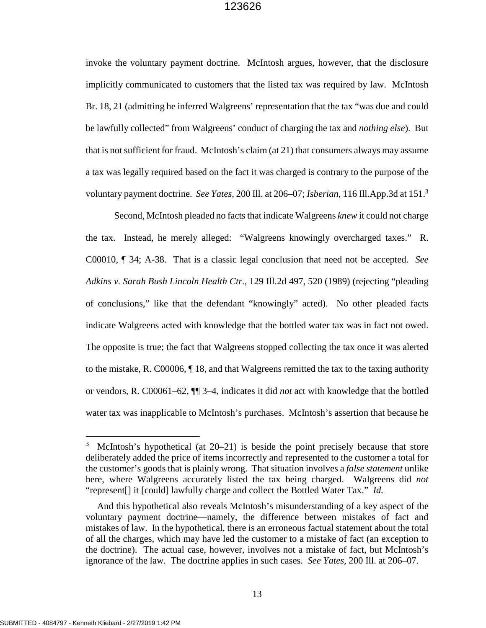invoke the voluntary payment doctrine. McIntosh argues, however, that the disclosure implicitly communicated to customers that the listed tax was required by law. McIntosh Br. 18, 21 (admitting he inferred Walgreens' representation that the tax "was due and could be lawfully collected" from Walgreens' conduct of charging the tax and *nothing else*). But that is not sufficient for fraud. McIntosh's claim (at 21) that consumers always may assume a tax was legally required based on the fact it was charged is contrary to the purpose of the voluntary payment doctrine. *See Yates*, 200 Ill. at 206–07; *Isberian*, 116 Ill.App.3d at 151.<sup>3</sup>

Second, McIntosh pleaded no facts that indicate Walgreens *knew* it could not charge the tax. Instead, he merely alleged: "Walgreens knowingly overcharged taxes." R. C00010, ¶ 34; A-38. That is a classic legal conclusion that need not be accepted. *See Adkins v. Sarah Bush Lincoln Health Ctr.*, 129 Ill.2d 497, 520 (1989) (rejecting "pleading of conclusions," like that the defendant "knowingly" acted). No other pleaded facts indicate Walgreens acted with knowledge that the bottled water tax was in fact not owed. The opposite is true; the fact that Walgreens stopped collecting the tax once it was alerted to the mistake, R. C00006, ¶ 18, and that Walgreens remitted the tax to the taxing authority or vendors, R. C00061–62, ¶¶ 3–4, indicates it did *not* act with knowledge that the bottled water tax was inapplicable to McIntosh's purchases. McIntosh's assertion that because he

 $3$  McIntosh's hypothetical (at 20–21) is beside the point precisely because that store deliberately added the price of items incorrectly and represented to the customer a total for the customer's goods that is plainly wrong. That situation involves a *false statement* unlike here, where Walgreens accurately listed the tax being charged. Walgreens did *not* "represent[] it [could] lawfully charge and collect the Bottled Water Tax." *Id.* 

And this hypothetical also reveals McIntosh's misunderstanding of a key aspect of the voluntary payment doctrine—namely, the difference between mistakes of fact and mistakes of law. In the hypothetical, there is an erroneous factual statement about the total of all the charges, which may have led the customer to a mistake of fact (an exception to the doctrine). The actual case, however, involves not a mistake of fact, but McIntosh's ignorance of the law. The doctrine applies in such cases. *See Yates*, 200 Ill. at 206–07.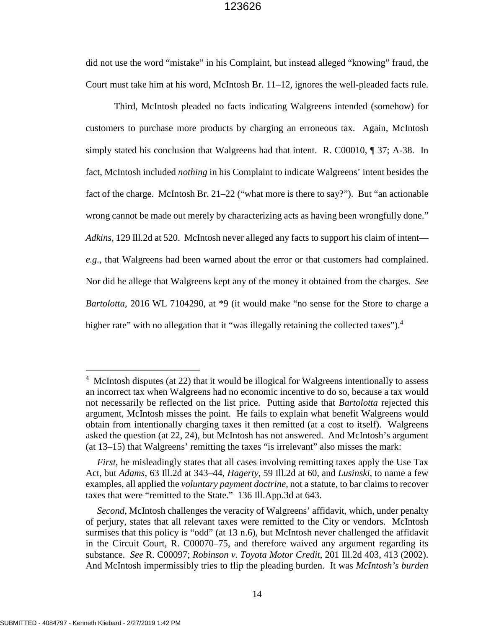did not use the word "mistake" in his Complaint, but instead alleged "knowing" fraud, the Court must take him at his word, McIntosh Br. 11–12, ignores the well-pleaded facts rule.

Third, McIntosh pleaded no facts indicating Walgreens intended (somehow) for customers to purchase more products by charging an erroneous tax. Again, McIntosh simply stated his conclusion that Walgreens had that intent. R. C00010, ¶ 37; A-38. In fact, McIntosh included *nothing* in his Complaint to indicate Walgreens' intent besides the fact of the charge. McIntosh Br. 21–22 ("what more is there to say?"). But "an actionable wrong cannot be made out merely by characterizing acts as having been wrongfully done." *Adkins*, 129 Ill.2d at 520. McIntosh never alleged any facts to support his claim of intent *e.g.*, that Walgreens had been warned about the error or that customers had complained. Nor did he allege that Walgreens kept any of the money it obtained from the charges. *See Bartolotta*, 2016 WL 7104290, at \*9 (it would make "no sense for the Store to charge a higher rate" with no allegation that it "was illegally retaining the collected taxes").<sup>4</sup>

 $4$  McIntosh disputes (at 22) that it would be illogical for Walgreens intentionally to assess an incorrect tax when Walgreens had no economic incentive to do so, because a tax would not necessarily be reflected on the list price. Putting aside that *Bartolotta* rejected this argument, McIntosh misses the point. He fails to explain what benefit Walgreens would obtain from intentionally charging taxes it then remitted (at a cost to itself). Walgreens asked the question (at 22, 24), but McIntosh has not answered. And McIntosh's argument (at 13–15) that Walgreens' remitting the taxes "is irrelevant" also misses the mark:

*First*, he misleadingly states that all cases involving remitting taxes apply the Use Tax Act, but *Adams*, 63 Ill.2d at 343–44, *Hagerty*, 59 Ill.2d at 60, and *Lusinski*, to name a few examples, all applied the *voluntary payment doctrine*, not a statute, to bar claims to recover taxes that were "remitted to the State." 136 Ill.App.3d at 643.

*Second*, McIntosh challenges the veracity of Walgreens' affidavit, which, under penalty of perjury, states that all relevant taxes were remitted to the City or vendors. McIntosh surmises that this policy is "odd" (at 13 n.6), but McIntosh never challenged the affidavit in the Circuit Court, R. C00070–75, and therefore waived any argument regarding its substance. *See* R. C00097; *Robinson v. Toyota Motor Credit*, 201 Ill.2d 403, 413 (2002). And McIntosh impermissibly tries to flip the pleading burden. It was *McIntosh's burden*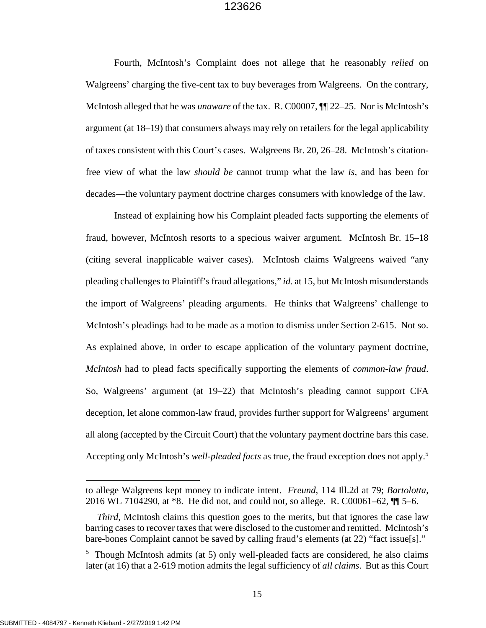Fourth, McIntosh's Complaint does not allege that he reasonably *relied* on Walgreens' charging the five-cent tax to buy beverages from Walgreens. On the contrary, McIntosh alleged that he was *unaware* of the tax. R. C00007, ¶¶ 22–25. Nor is McIntosh's argument (at 18–19) that consumers always may rely on retailers for the legal applicability of taxes consistent with this Court's cases. Walgreens Br. 20, 26–28. McIntosh's citationfree view of what the law *should be* cannot trump what the law *is*, and has been for decades—the voluntary payment doctrine charges consumers with knowledge of the law.

Instead of explaining how his Complaint pleaded facts supporting the elements of fraud, however, McIntosh resorts to a specious waiver argument. McIntosh Br. 15–18 (citing several inapplicable waiver cases). McIntosh claims Walgreens waived "any pleading challenges to Plaintiff's fraud allegations," *id.* at 15, but McIntosh misunderstands the import of Walgreens' pleading arguments. He thinks that Walgreens' challenge to McIntosh's pleadings had to be made as a motion to dismiss under Section 2-615. Not so. As explained above, in order to escape application of the voluntary payment doctrine, *McIntosh* had to plead facts specifically supporting the elements of *common-law fraud*. So, Walgreens' argument (at 19–22) that McIntosh's pleading cannot support CFA deception, let alone common-law fraud, provides further support for Walgreens' argument all along (accepted by the Circuit Court) that the voluntary payment doctrine bars this case. Accepting only McIntosh's *well-pleaded facts* as true, the fraud exception does not apply.<sup>5</sup>

to allege Walgreens kept money to indicate intent. *Freund*, 114 Ill.2d at 79; *Bartolotta*, 2016 WL 7104290, at \*8. He did not, and could not, so allege. R. C00061–62, ¶¶ 5–6.

*Third*, McIntosh claims this question goes to the merits, but that ignores the case law barring cases to recover taxes that were disclosed to the customer and remitted. McIntosh's bare-bones Complaint cannot be saved by calling fraud's elements (at 22) "fact issue[s]."

 $5$  Though McIntosh admits (at 5) only well-pleaded facts are considered, he also claims later (at 16) that a 2-619 motion admits the legal sufficiency of *all claims*. But as this Court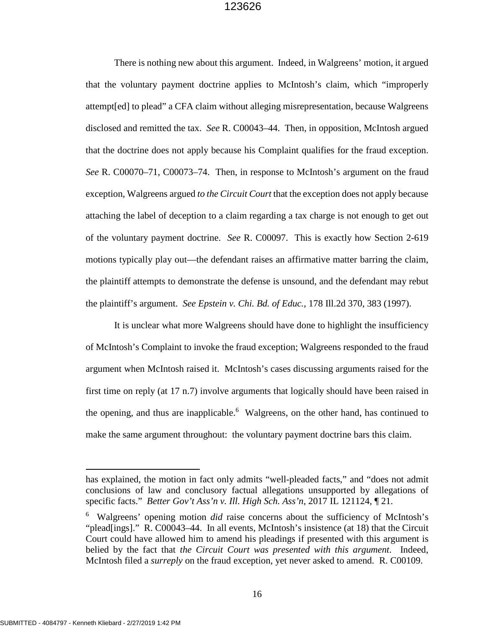There is nothing new about this argument. Indeed, in Walgreens' motion, it argued that the voluntary payment doctrine applies to McIntosh's claim, which "improperly attempt[ed] to plead" a CFA claim without alleging misrepresentation, because Walgreens disclosed and remitted the tax. *See* R. C00043–44. Then, in opposition, McIntosh argued that the doctrine does not apply because his Complaint qualifies for the fraud exception. *See* R. C00070–71, C00073–74. Then, in response to McIntosh's argument on the fraud exception, Walgreens argued *to the Circuit Court* that the exception does not apply because attaching the label of deception to a claim regarding a tax charge is not enough to get out of the voluntary payment doctrine. *See* R. C00097. This is exactly how Section 2-619 motions typically play out—the defendant raises an affirmative matter barring the claim, the plaintiff attempts to demonstrate the defense is unsound, and the defendant may rebut the plaintiff's argument. *See Epstein v. Chi. Bd. of Educ.*, 178 Ill.2d 370, 383 (1997).

It is unclear what more Walgreens should have done to highlight the insufficiency of McIntosh's Complaint to invoke the fraud exception; Walgreens responded to the fraud argument when McIntosh raised it. McIntosh's cases discussing arguments raised for the first time on reply (at 17 n.7) involve arguments that logically should have been raised in the opening, and thus are inapplicable.<sup>6</sup> Walgreens, on the other hand, has continued to make the same argument throughout: the voluntary payment doctrine bars this claim.

has explained, the motion in fact only admits "well-pleaded facts," and "does not admit conclusions of law and conclusory factual allegations unsupported by allegations of specific facts." *Better Gov't Ass'n v. Ill. High Sch. Ass'n*, 2017 IL 121124, ¶ 21.

<sup>&</sup>lt;sup>6</sup> Walgreens' opening motion *did* raise concerns about the sufficiency of McIntosh's "plead[ings]." R. C00043–44. In all events, McIntosh's insistence (at 18) that the Circuit Court could have allowed him to amend his pleadings if presented with this argument is belied by the fact that *the Circuit Court was presented with this argument*. Indeed, McIntosh filed a *surreply* on the fraud exception, yet never asked to amend. R. C00109.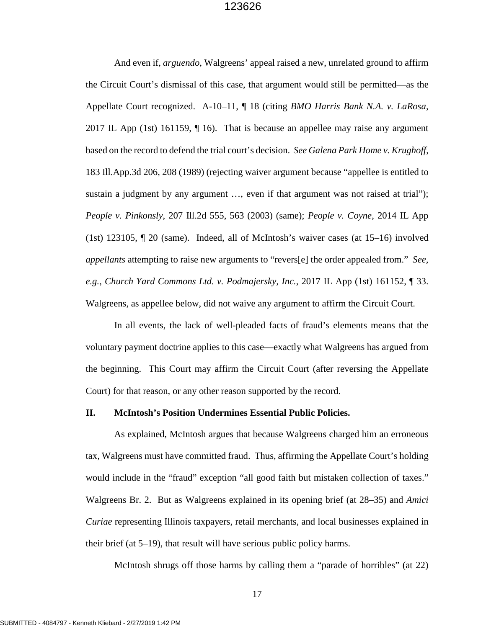And even if, *arguendo*, Walgreens' appeal raised a new, unrelated ground to affirm the Circuit Court's dismissal of this case, that argument would still be permitted—as the Appellate Court recognized. A-10–11, ¶ 18 (citing *BMO Harris Bank N.A. v. LaRosa*, 2017 IL App (1st) 161159, ¶ 16). That is because an appellee may raise any argument based on the record to defend the trial court's decision. *See Galena Park Home v. Krughoff*, 183 Ill.App.3d 206, 208 (1989) (rejecting waiver argument because "appellee is entitled to sustain a judgment by any argument ..., even if that argument was not raised at trial"); *People v. Pinkonsly*, 207 Ill.2d 555, 563 (2003) (same); *People v. Coyne*, 2014 IL App (1st) 123105, ¶ 20 (same). Indeed, all of McIntosh's waiver cases (at 15–16) involved *appellants* attempting to raise new arguments to "revers[e] the order appealed from." *See, e.g.*, *Church Yard Commons Ltd. v. Podmajersky, Inc.*, 2017 IL App (1st) 161152, ¶ 33. Walgreens, as appellee below, did not waive any argument to affirm the Circuit Court.

In all events, the lack of well-pleaded facts of fraud's elements means that the voluntary payment doctrine applies to this case—exactly what Walgreens has argued from the beginning. This Court may affirm the Circuit Court (after reversing the Appellate Court) for that reason, or any other reason supported by the record.

#### **II. McIntosh's Position Undermines Essential Public Policies.**

As explained, McIntosh argues that because Walgreens charged him an erroneous tax, Walgreens must have committed fraud. Thus, affirming the Appellate Court's holding would include in the "fraud" exception "all good faith but mistaken collection of taxes." Walgreens Br. 2. But as Walgreens explained in its opening brief (at 28–35) and *Amici Curiae* representing Illinois taxpayers, retail merchants, and local businesses explained in their brief (at 5–19), that result will have serious public policy harms.

McIntosh shrugs off those harms by calling them a "parade of horribles" (at 22)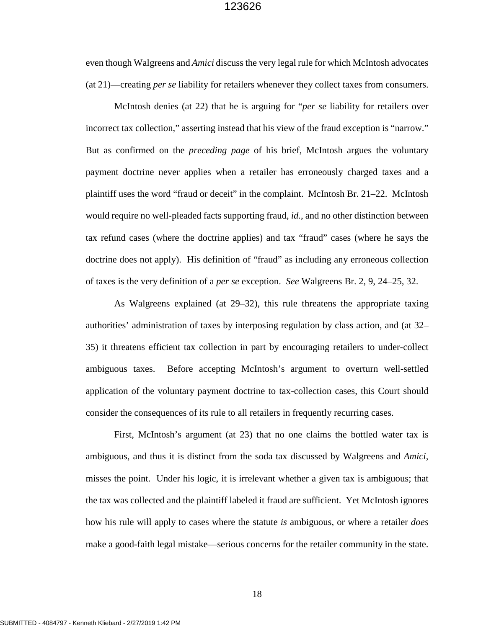even though Walgreens and *Amici* discuss the very legal rule for which McIntosh advocates (at 21)—creating *per se* liability for retailers whenever they collect taxes from consumers.

McIntosh denies (at 22) that he is arguing for "*per se* liability for retailers over incorrect tax collection," asserting instead that his view of the fraud exception is "narrow." But as confirmed on the *preceding page* of his brief, McIntosh argues the voluntary payment doctrine never applies when a retailer has erroneously charged taxes and a plaintiff uses the word "fraud or deceit" in the complaint. McIntosh Br. 21–22. McIntosh would require no well-pleaded facts supporting fraud, *id.*, and no other distinction between tax refund cases (where the doctrine applies) and tax "fraud" cases (where he says the doctrine does not apply). His definition of "fraud" as including any erroneous collection of taxes is the very definition of a *per se* exception. *See* Walgreens Br. 2, 9, 24–25, 32.

As Walgreens explained (at 29–32), this rule threatens the appropriate taxing authorities' administration of taxes by interposing regulation by class action, and (at 32– 35) it threatens efficient tax collection in part by encouraging retailers to under-collect ambiguous taxes. Before accepting McIntosh's argument to overturn well-settled application of the voluntary payment doctrine to tax-collection cases, this Court should consider the consequences of its rule to all retailers in frequently recurring cases.

First, McIntosh's argument (at 23) that no one claims the bottled water tax is ambiguous, and thus it is distinct from the soda tax discussed by Walgreens and *Amici*, misses the point. Under his logic, it is irrelevant whether a given tax is ambiguous; that the tax was collected and the plaintiff labeled it fraud are sufficient. Yet McIntosh ignores how his rule will apply to cases where the statute *is* ambiguous, or where a retailer *does* make a good-faith legal mistake—serious concerns for the retailer community in the state.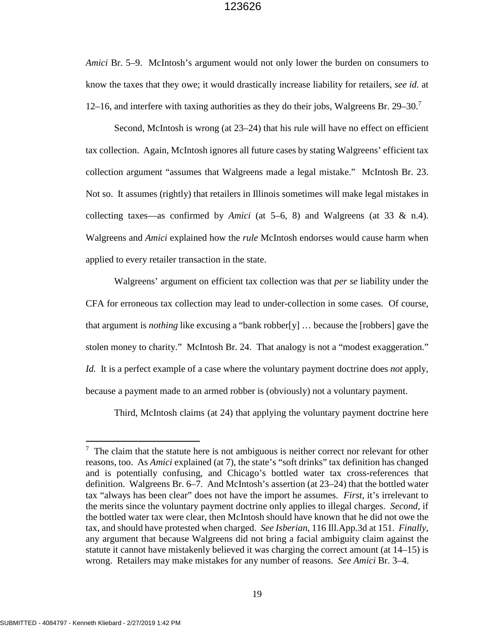*Amici* Br. 5–9. McIntosh's argument would not only lower the burden on consumers to know the taxes that they owe; it would drastically increase liability for retailers, *see id.* at 12–16, and interfere with taxing authorities as they do their jobs, Walgreens Br. 29–30.<sup>7</sup>

Second, McIntosh is wrong (at 23–24) that his rule will have no effect on efficient tax collection. Again, McIntosh ignores all future cases by stating Walgreens' efficient tax collection argument "assumes that Walgreens made a legal mistake." McIntosh Br. 23. Not so. It assumes (rightly) that retailers in Illinois sometimes will make legal mistakes in collecting taxes—as confirmed by *Amici* (at 5–6, 8) and Walgreens (at 33 & n.4). Walgreens and *Amici* explained how the *rule* McIntosh endorses would cause harm when applied to every retailer transaction in the state.

Walgreens' argument on efficient tax collection was that *per se* liability under the CFA for erroneous tax collection may lead to under-collection in some cases. Of course, that argument is *nothing* like excusing a "bank robber[y] … because the [robbers] gave the stolen money to charity." McIntosh Br. 24. That analogy is not a "modest exaggeration." *Id.* It is a perfect example of a case where the voluntary payment doctrine does *not* apply, because a payment made to an armed robber is (obviously) not a voluntary payment.

Third, McIntosh claims (at 24) that applying the voluntary payment doctrine here

 $7$  The claim that the statute here is not ambiguous is neither correct nor relevant for other reasons, too. As *Amici* explained (at 7), the state's "soft drinks" tax definition has changed and is potentially confusing, and Chicago's bottled water tax cross-references that definition. Walgreens Br. 6–7. And McIntosh's assertion (at 23–24) that the bottled water tax "always has been clear" does not have the import he assumes. *First*, it's irrelevant to the merits since the voluntary payment doctrine only applies to illegal charges. *Second*, if the bottled water tax were clear, then McIntosh should have known that he did not owe the tax, and should have protested when charged. *See Isberian*, 116 Ill.App.3d at 151. *Finally*, any argument that because Walgreens did not bring a facial ambiguity claim against the statute it cannot have mistakenly believed it was charging the correct amount (at 14–15) is wrong. Retailers may make mistakes for any number of reasons. *See Amici* Br. 3–4.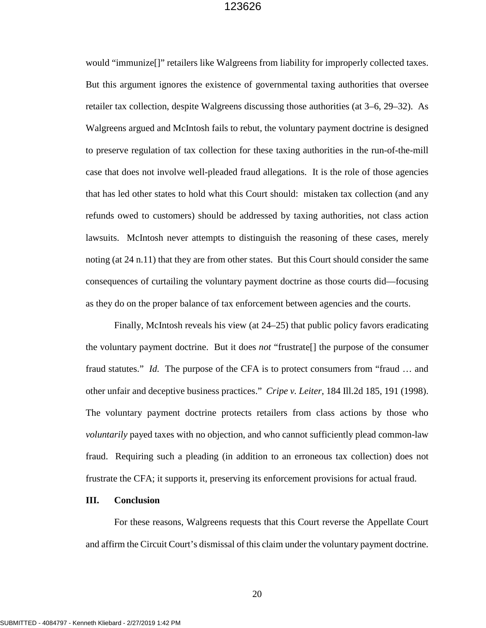would "immunize[]" retailers like Walgreens from liability for improperly collected taxes. But this argument ignores the existence of governmental taxing authorities that oversee retailer tax collection, despite Walgreens discussing those authorities (at 3–6, 29–32). As Walgreens argued and McIntosh fails to rebut, the voluntary payment doctrine is designed to preserve regulation of tax collection for these taxing authorities in the run-of-the-mill case that does not involve well-pleaded fraud allegations. It is the role of those agencies that has led other states to hold what this Court should: mistaken tax collection (and any refunds owed to customers) should be addressed by taxing authorities, not class action lawsuits. McIntosh never attempts to distinguish the reasoning of these cases, merely noting (at 24 n.11) that they are from other states. But this Court should consider the same consequences of curtailing the voluntary payment doctrine as those courts did—focusing as they do on the proper balance of tax enforcement between agencies and the courts.

Finally, McIntosh reveals his view (at 24–25) that public policy favors eradicating the voluntary payment doctrine. But it does *not* "frustrate[] the purpose of the consumer fraud statutes." *Id.* The purpose of the CFA is to protect consumers from "fraud … and other unfair and deceptive business practices." *Cripe v. Leiter*, 184 Ill.2d 185, 191 (1998). The voluntary payment doctrine protects retailers from class actions by those who *voluntarily* payed taxes with no objection, and who cannot sufficiently plead common-law fraud. Requiring such a pleading (in addition to an erroneous tax collection) does not frustrate the CFA; it supports it, preserving its enforcement provisions for actual fraud.

#### **III. Conclusion**

For these reasons, Walgreens requests that this Court reverse the Appellate Court and affirm the Circuit Court's dismissal of this claim under the voluntary payment doctrine.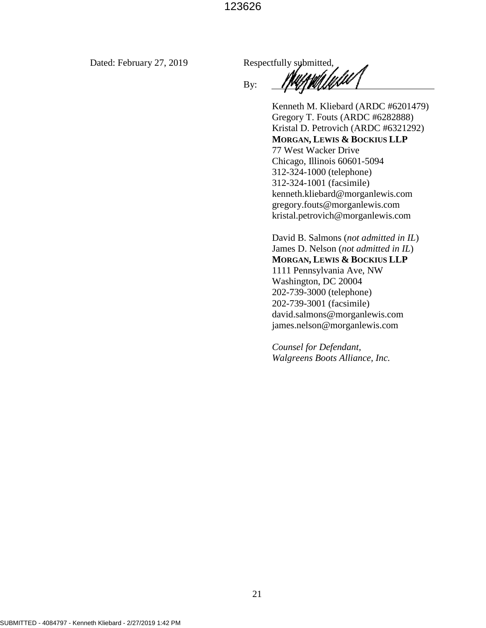Dated: February 27, 2019 Respectfully submitted,

By:

Kenneth M. Kliebard (ARDC #6201479) Gregory T. Fouts (ARDC #6282888) Kristal D. Petrovich (ARDC #6321292) **MORGAN, LEWIS & BOCKIUS LLP**  77 West Wacker Drive Chicago, Illinois 60601-5094 312-324-1000 (telephone) 312-324-1001 (facsimile) kenneth.kliebard@morganlewis.com gregory.fouts@morganlewis.com kristal.petrovich@morganlewis.com

David B. Salmons (*not admitted in IL*) James D. Nelson (*not admitted in IL*) **MORGAN, LEWIS & BOCKIUS LLP**  1111 Pennsylvania Ave, NW Washington, DC 20004 202-739-3000 (telephone) 202-739-3001 (facsimile) david.salmons@morganlewis.com james.nelson@morganlewis.com

*Counsel for Defendant, Walgreens Boots Alliance, Inc.*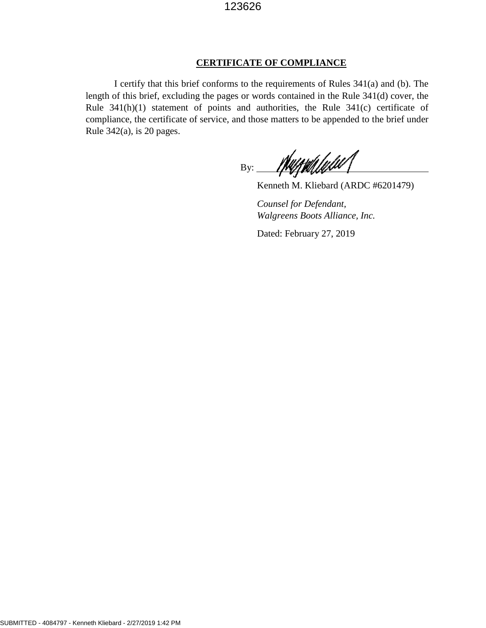#### **CERTIFICATE OF COMPLIANCE**

I certify that this brief conforms to the requirements of Rules 341(a) and (b). The length of this brief, excluding the pages or words contained in the Rule 341(d) cover, the Rule 341(h)(1) statement of points and authorities, the Rule 341(c) certificate of compliance, the certificate of service, and those matters to be appended to the brief under Rule 342(a), is 20 pages.

<u>Murradulu</u>  $By:$ 

Kenneth M. Kliebard (ARDC #6201479)

*Counsel for Defendant, Walgreens Boots Alliance, Inc.*

Dated: February 27, 2019